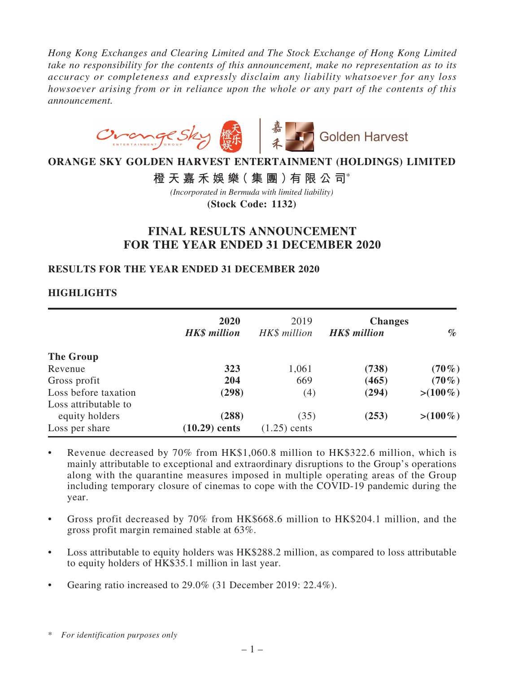*Hong Kong Exchanges and Clearing Limited and The Stock Exchange of Hong Kong Limited take no responsibility for the contents of this announcement, make no representation as to its accuracy or completeness and expressly disclaim any liability whatsoever for any loss howsoever arising from or in reliance upon the whole or any part of the contents of this announcement.*



# **ORANGE SKY GOLDEN HARVEST ENTERTAINMENT (HOLDINGS) LIMITED**

# **橙天嘉禾娛樂(集團)有限公司**\*

*(Incorporated in Bermuda with limited liability)*

**(Stock Code: 1132)**

# **FINAL RESULTS ANNOUNCEMENT FOR THE YEAR ENDED 31 DECEMBER 2020**

### **RESULTS FOR THE YEAR ENDED 31 DECEMBER 2020**

### **HIGHLIGHTS**

|                                              | 2020<br><b>HK\$</b> million | 2019<br>HK\$ million   | <b>Changes</b><br><b>HK\$</b> million | $\%$        |
|----------------------------------------------|-----------------------------|------------------------|---------------------------------------|-------------|
| The Group                                    |                             |                        |                                       |             |
| Revenue                                      | 323                         | 1,061                  | (738)                                 | $(70\%)$    |
| Gross profit                                 | 204                         | 669                    | (465)                                 | $(70\%)$    |
| Loss before taxation<br>Loss attributable to | (298)                       | (4)                    | (294)                                 | $> (100\%)$ |
| equity holders<br>Loss per share             | (288)<br>$(10.29)$ cents    | (35)<br>$(1.25)$ cents | (253)                                 | $> (100\%)$ |

- Revenue decreased by  $70\%$  from HK\$1,060.8 million to HK\$322.6 million, which is mainly attributable to exceptional and extraordinary disruptions to the Group's operations along with the quarantine measures imposed in multiple operating areas of the Group including temporary closure of cinemas to cope with the COVID-19 pandemic during the year.
- Gross profit decreased by 70% from HK\$668.6 million to HK\$204.1 million, and the gross profit margin remained stable at 63%.
- Loss attributable to equity holders was HK\$288.2 million, as compared to loss attributable to equity holders of HK\$35.1 million in last year.
- Gearing ratio increased to  $29.0\%$  (31 December 2019: 22.4%).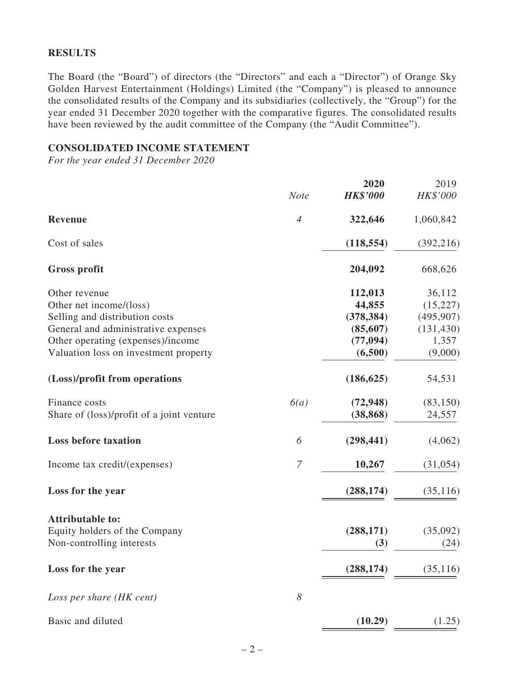### **RESULTS**

The Board (the "Board") of directors (the "Directors" and each a "Director") of Orange Sky Golden Harvest Entertainment (Holdings) Limited (the "Company") is pleased to announce the consolidated results of the Company and its subsidiaries (collectively, the "Group") for the year ended 31 December 2020 together with the comparative figures. The consolidated results have been reviewed by the audit committee of the Company (the "Audit Committee").

### **CONSOLIDATED INCOME STATEMENT**

*For the year ended 31 December 2020*

|                                           |                | 2020            | 2019       |
|-------------------------------------------|----------------|-----------------|------------|
|                                           | <b>Note</b>    | <b>HK\$'000</b> | HK\$'000   |
| Revenue                                   | $\overline{4}$ | 322,646         | 1,060,842  |
| Cost of sales                             |                | (118, 554)      | (392, 216) |
| <b>Gross profit</b>                       |                | 204,092         | 668,626    |
| Other revenue                             |                | 112,013         | 36,112     |
| Other net income/(loss)                   |                | 44,855          | (15, 227)  |
| Selling and distribution costs            |                | (378, 384)      | (495, 907) |
| General and administrative expenses       |                | (85, 607)       | (131, 430) |
| Other operating (expenses)/income         |                | (77, 094)       | 1,357      |
| Valuation loss on investment property     |                | (6,500)         | (9,000)    |
| (Loss)/profit from operations             |                | (186, 625)      | 54,531     |
| Finance costs                             | 6(a)           | (72, 948)       | (83, 150)  |
| Share of (loss)/profit of a joint venture |                | (38, 868)       | 24,557     |
| <b>Loss before taxation</b>               | 6              | (298, 441)      | (4,062)    |
| Income tax credit/(expenses)              | $\overline{7}$ | 10,267          | (31, 054)  |
| Loss for the year                         |                | (288, 174)      | (35,116)   |
| <b>Attributable to:</b>                   |                |                 |            |
| Equity holders of the Company             |                | (288, 171)      | (35,092)   |
| Non-controlling interests                 |                | (3)             | (24)       |
| Loss for the year                         |                | (288, 174)      | (35, 116)  |
| Loss per share (HK cent)                  | 8              |                 |            |
| Basic and diluted                         |                | (10.29)         | (1.25)     |
|                                           |                |                 |            |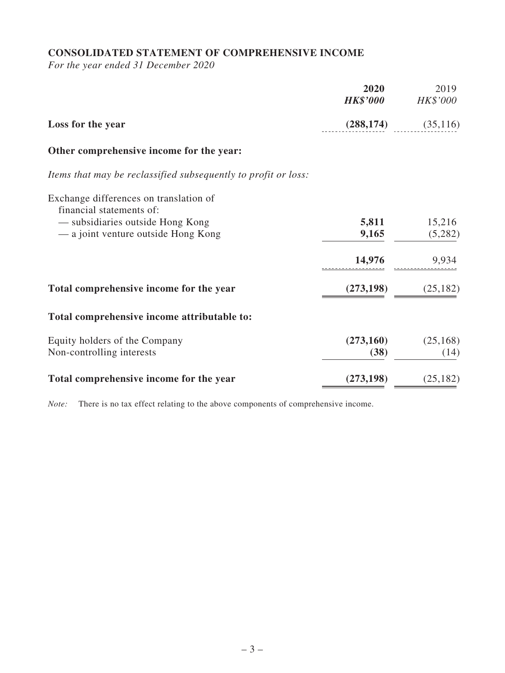# **CONSOLIDATED STATEMENT OF COMPREHENSIVE INCOME**

*For the year ended 31 December 2020*

|                                                                    | 2020<br><b>HK\$'000</b> | 2019<br>HK\$'000 |
|--------------------------------------------------------------------|-------------------------|------------------|
| Loss for the year                                                  | (288, 174)              | (35, 116)        |
| Other comprehensive income for the year:                           |                         |                  |
| Items that may be reclassified subsequently to profit or loss:     |                         |                  |
| Exchange differences on translation of<br>financial statements of: |                         |                  |
| - subsidiaries outside Hong Kong                                   | 5,811                   | 15,216           |
| — a joint venture outside Hong Kong                                | 9,165                   | (5,282)          |
|                                                                    | 14,976                  | 9,934            |
| Total comprehensive income for the year                            | (273, 198)              | (25, 182)        |
| Total comprehensive income attributable to:                        |                         |                  |
| Equity holders of the Company                                      | (273,160)               | (25, 168)        |
| Non-controlling interests                                          | (38)                    | (14)             |
| Total comprehensive income for the year                            | (273, 198)              | (25, 182)        |

*Note:* There is no tax effect relating to the above components of comprehensive income.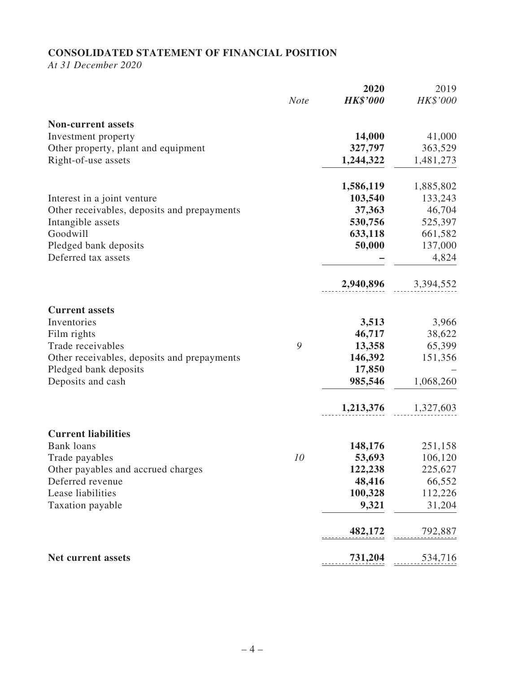# **CONSOLIDATED STATEMENT OF FINANCIAL POSITION**

*At 31 December 2020*

|                                             |             | 2020            | 2019      |
|---------------------------------------------|-------------|-----------------|-----------|
|                                             | <b>Note</b> | <b>HK\$'000</b> | HK\$'000  |
| <b>Non-current assets</b>                   |             |                 |           |
| Investment property                         |             | 14,000          | 41,000    |
| Other property, plant and equipment         |             | 327,797         | 363,529   |
| Right-of-use assets                         |             | 1,244,322       | 1,481,273 |
|                                             |             | 1,586,119       | 1,885,802 |
| Interest in a joint venture                 |             | 103,540         | 133,243   |
| Other receivables, deposits and prepayments |             | 37,363          | 46,704    |
| Intangible assets                           |             | 530,756         | 525,397   |
| Goodwill                                    |             | 633,118         | 661,582   |
| Pledged bank deposits                       |             | 50,000          | 137,000   |
| Deferred tax assets                         |             |                 | 4,824     |
|                                             |             | 2,940,896       | 3,394,552 |
| <b>Current assets</b>                       |             |                 |           |
| Inventories                                 |             | 3,513           | 3,966     |
| Film rights                                 |             | 46,717          | 38,622    |
| Trade receivables                           | 9           | 13,358          | 65,399    |
| Other receivables, deposits and prepayments |             | 146,392         | 151,356   |
| Pledged bank deposits                       |             | 17,850          |           |
| Deposits and cash                           |             | 985,546         | 1,068,260 |
|                                             |             | 1,213,376       | 1,327,603 |
| <b>Current liabilities</b>                  |             |                 |           |
| <b>Bank</b> loans                           |             | 148,176         | 251,158   |
| Trade payables                              | 10          | 53,693          | 106,120   |
| Other payables and accrued charges          |             | 122,238         | 225,627   |
| Deferred revenue                            |             | 48,416          | 66,552    |
| Lease liabilities                           |             | 100,328         | 112,226   |
| Taxation payable                            |             | 9,321           | 31,204    |
|                                             |             | 482,172         | 792,887   |
| Net current assets                          |             | 731,204         | 534,716   |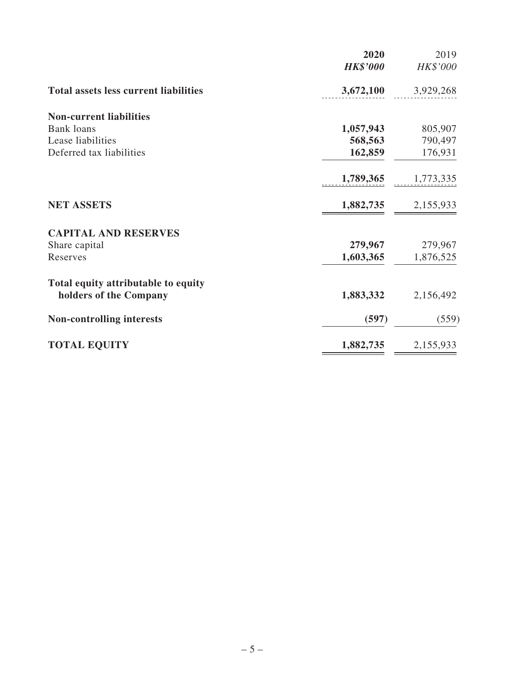|                                              | 2020            | 2019      |
|----------------------------------------------|-----------------|-----------|
|                                              | <b>HK\$'000</b> | HK\$'000  |
| <b>Total assets less current liabilities</b> | 3,672,100       | 3,929,268 |
| <b>Non-current liabilities</b>               |                 |           |
| <b>Bank</b> loans                            | 1,057,943       | 805,907   |
| Lease liabilities                            | 568,563         | 790,497   |
| Deferred tax liabilities                     | 162,859         | 176,931   |
|                                              | 1,789,365       | 1,773,335 |
| <b>NET ASSETS</b>                            | 1,882,735       | 2,155,933 |
| <b>CAPITAL AND RESERVES</b>                  |                 |           |
| Share capital                                | 279,967         | 279,967   |
| Reserves                                     | 1,603,365       | 1,876,525 |
| Total equity attributable to equity          |                 |           |
| holders of the Company                       | 1,883,332       | 2,156,492 |
| <b>Non-controlling interests</b>             | (597)           | (559)     |
| <b>TOTAL EQUITY</b>                          | 1,882,735       | 2,155,933 |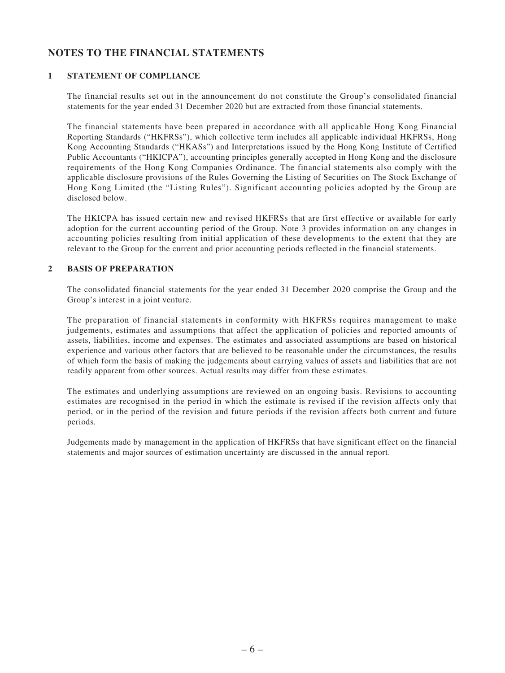# **NOTES TO THE FINANCIAL STATEMENTS**

### **1 STATEMENT OF COMPLIANCE**

The financial results set out in the announcement do not constitute the Group's consolidated financial statements for the year ended 31 December 2020 but are extracted from those financial statements.

The financial statements have been prepared in accordance with all applicable Hong Kong Financial Reporting Standards ("HKFRSs"), which collective term includes all applicable individual HKFRSs, Hong Kong Accounting Standards ("HKASs") and Interpretations issued by the Hong Kong Institute of Certified Public Accountants ("HKICPA"), accounting principles generally accepted in Hong Kong and the disclosure requirements of the Hong Kong Companies Ordinance. The financial statements also comply with the applicable disclosure provisions of the Rules Governing the Listing of Securities on The Stock Exchange of Hong Kong Limited (the "Listing Rules"). Significant accounting policies adopted by the Group are disclosed below.

The HKICPA has issued certain new and revised HKFRSs that are first effective or available for early adoption for the current accounting period of the Group. Note 3 provides information on any changes in accounting policies resulting from initial application of these developments to the extent that they are relevant to the Group for the current and prior accounting periods reflected in the financial statements.

#### **2 BASIS OF PREPARATION**

The consolidated financial statements for the year ended 31 December 2020 comprise the Group and the Group's interest in a joint venture.

The preparation of financial statements in conformity with HKFRSs requires management to make judgements, estimates and assumptions that affect the application of policies and reported amounts of assets, liabilities, income and expenses. The estimates and associated assumptions are based on historical experience and various other factors that are believed to be reasonable under the circumstances, the results of which form the basis of making the judgements about carrying values of assets and liabilities that are not readily apparent from other sources. Actual results may differ from these estimates.

The estimates and underlying assumptions are reviewed on an ongoing basis. Revisions to accounting estimates are recognised in the period in which the estimate is revised if the revision affects only that period, or in the period of the revision and future periods if the revision affects both current and future periods.

Judgements made by management in the application of HKFRSs that have significant effect on the financial statements and major sources of estimation uncertainty are discussed in the annual report.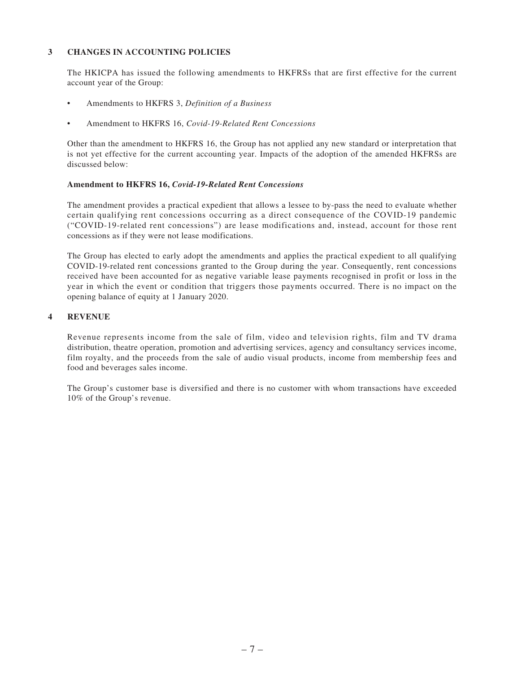### **3 CHANGES IN ACCOUNTING POLICIES**

The HKICPA has issued the following amendments to HKFRSs that are first effective for the current account year of the Group:

- Amendments to HKFRS 3, *Definition of a Business*
- Amendment to HKFRS 16, Covid-19-Related Rent Concessions

Other than the amendment to HKFRS 16, the Group has not applied any new standard or interpretation that is not yet effective for the current accounting year. Impacts of the adoption of the amended HKFRSs are discussed below:

### **Amendment to HKFRS 16,** *Covid-19-Related Rent Concessions*

The amendment provides a practical expedient that allows a lessee to by-pass the need to evaluate whether certain qualifying rent concessions occurring as a direct consequence of the COVID-19 pandemic ("COVID-19-related rent concessions") are lease modifications and, instead, account for those rent concessions as if they were not lease modifications.

The Group has elected to early adopt the amendments and applies the practical expedient to all qualifying COVID-19-related rent concessions granted to the Group during the year. Consequently, rent concessions received have been accounted for as negative variable lease payments recognised in profit or loss in the year in which the event or condition that triggers those payments occurred. There is no impact on the opening balance of equity at 1 January 2020.

### **4 REVENUE**

Revenue represents income from the sale of film, video and television rights, film and TV drama distribution, theatre operation, promotion and advertising services, agency and consultancy services income, film royalty, and the proceeds from the sale of audio visual products, income from membership fees and food and beverages sales income.

The Group's customer base is diversified and there is no customer with whom transactions have exceeded 10% of the Group's revenue.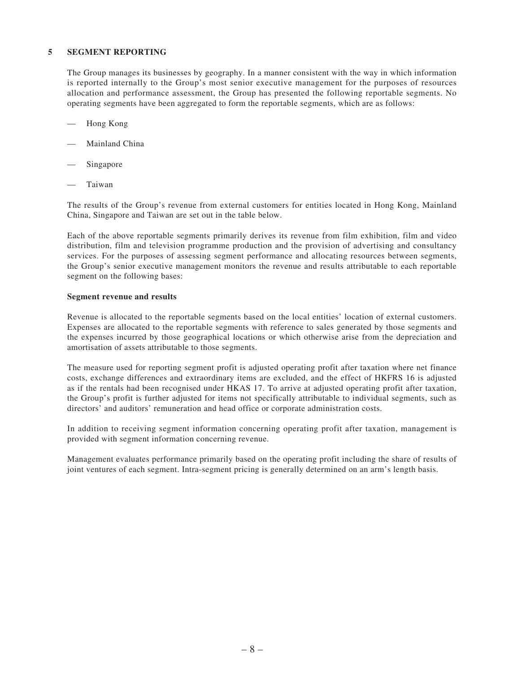#### **5 SEGMENT REPORTING**

The Group manages its businesses by geography. In a manner consistent with the way in which information is reported internally to the Group's most senior executive management for the purposes of resources allocation and performance assessment, the Group has presented the following reportable segments. No operating segments have been aggregated to form the reportable segments, which are as follows:

- Hong Kong
- Mainland China
- Singapore
- **Taiwan**

The results of the Group's revenue from external customers for entities located in Hong Kong, Mainland China, Singapore and Taiwan are set out in the table below.

Each of the above reportable segments primarily derives its revenue from film exhibition, film and video distribution, film and television programme production and the provision of advertising and consultancy services. For the purposes of assessing segment performance and allocating resources between segments, the Group's senior executive management monitors the revenue and results attributable to each reportable segment on the following bases:

#### **Segment revenue and results**

Revenue is allocated to the reportable segments based on the local entities' location of external customers. Expenses are allocated to the reportable segments with reference to sales generated by those segments and the expenses incurred by those geographical locations or which otherwise arise from the depreciation and amortisation of assets attributable to those segments.

The measure used for reporting segment profit is adjusted operating profit after taxation where net finance costs, exchange differences and extraordinary items are excluded, and the effect of HKFRS 16 is adjusted as if the rentals had been recognised under HKAS 17. To arrive at adjusted operating profit after taxation, the Group's profit is further adjusted for items not specifically attributable to individual segments, such as directors' and auditors' remuneration and head office or corporate administration costs.

In addition to receiving segment information concerning operating profit after taxation, management is provided with segment information concerning revenue.

Management evaluates performance primarily based on the operating profit including the share of results of joint ventures of each segment. Intra-segment pricing is generally determined on an arm's length basis.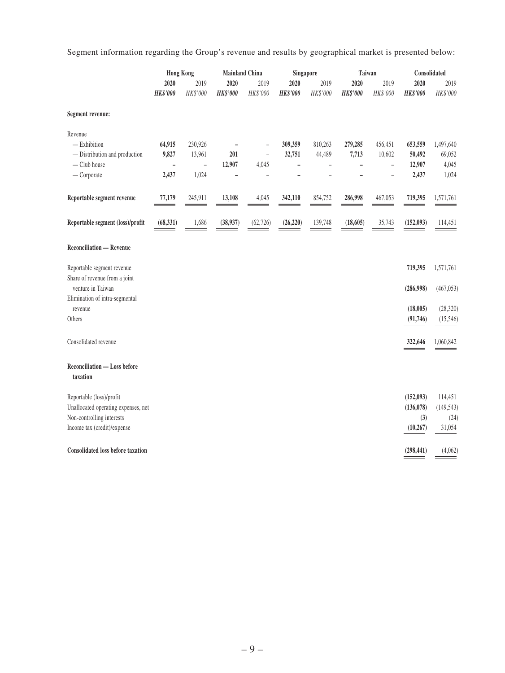Segment information regarding the Group's revenue and results by geographical market is presented below:

|                                                             | <b>Hong Kong</b>        |                  | <b>Mainland China</b>   |                  |                         | Singapore        | Taiwan           |                          | Consolidated            |                  |
|-------------------------------------------------------------|-------------------------|------------------|-------------------------|------------------|-------------------------|------------------|------------------|--------------------------|-------------------------|------------------|
|                                                             | 2020<br><b>HK\$'000</b> | 2019<br>HK\$'000 | 2020<br><b>HK\$'000</b> | 2019<br>HK\$'000 | 2020<br><b>HK\$'000</b> | 2019<br>HK\$'000 | 2020<br>HK\$'000 | 2019<br>HK\$'000         | 2020<br><b>HK\$'000</b> | 2019<br>HK\$'000 |
| Segment revenue:                                            |                         |                  |                         |                  |                         |                  |                  |                          |                         |                  |
| Revenue                                                     |                         |                  |                         |                  |                         |                  |                  |                          |                         |                  |
| $-$ Exhibition                                              | 64,915                  | 230,926          |                         |                  | 309,359                 | 810,263          | 279,285          | 456,451                  | 653,559                 | 1,497,640        |
| - Distribution and production                               | 9,827                   | 13,961           | 201                     | $\equiv$         | 32,751                  | 44,489           | 7,713            | 10,602                   | 50,492                  | 69,052           |
| - Club house                                                | ÷                       | $\equiv$         | 12,907                  | 4,045            | $\overline{a}$          |                  | ۰                | $\equiv$                 | 12,907                  | 4,045            |
| $-$ Corporate                                               | 2,437                   | 1,024            | $\qquad \qquad -$       |                  |                         |                  |                  | $\overline{\phantom{0}}$ | 2,437                   | 1,024            |
| Reportable segment revenue                                  | 77,179                  | 245,911          | 13,108                  | 4,045            | 342,110                 | 854,752          | 286,998          | 467,053                  | 719,395                 | 1,571,761        |
| Reportable segment (loss)/profit                            | (68, 331)               | 1,686            | (38,937)                | (62, 726)        | (26, 220)               | 139,748          | (18, 605)        | 35,743                   | (152, 093)              | 114,451          |
| <b>Reconciliation - Revenue</b>                             |                         |                  |                         |                  |                         |                  |                  |                          |                         |                  |
| Reportable segment revenue<br>Share of revenue from a joint |                         |                  |                         |                  |                         |                  |                  |                          | 719,395                 | 1,571,761        |
| venture in Taiwan<br>Elimination of intra-segmental         |                         |                  |                         |                  |                         |                  |                  |                          | (286,998)               | (467, 053)       |
| revenue                                                     |                         |                  |                         |                  |                         |                  |                  |                          | (18,005)                | (28, 320)        |
| Others                                                      |                         |                  |                         |                  |                         |                  |                  |                          | (91, 746)               | (15,546)         |
| Consolidated revenue                                        |                         |                  |                         |                  |                         |                  |                  |                          | 322,646                 | 1,060,842        |
| Reconciliation - Loss before<br>taxation                    |                         |                  |                         |                  |                         |                  |                  |                          |                         |                  |
| Reportable (loss)/profit                                    |                         |                  |                         |                  |                         |                  |                  |                          | (152,093)               | 114,451          |
| Unallocated operating expenses, net                         |                         |                  |                         |                  |                         |                  |                  |                          | (136, 078)              | (149, 543)       |
| Non-controlling interests                                   |                         |                  |                         |                  |                         |                  |                  |                          | (3)                     | (24)             |
| Income tax (credit)/expense                                 |                         |                  |                         |                  |                         |                  |                  |                          | (10, 267)               | 31,054           |
| <b>Consolidated loss before taxation</b>                    |                         |                  |                         |                  |                         |                  |                  |                          | (298, 441)              | (4,062)          |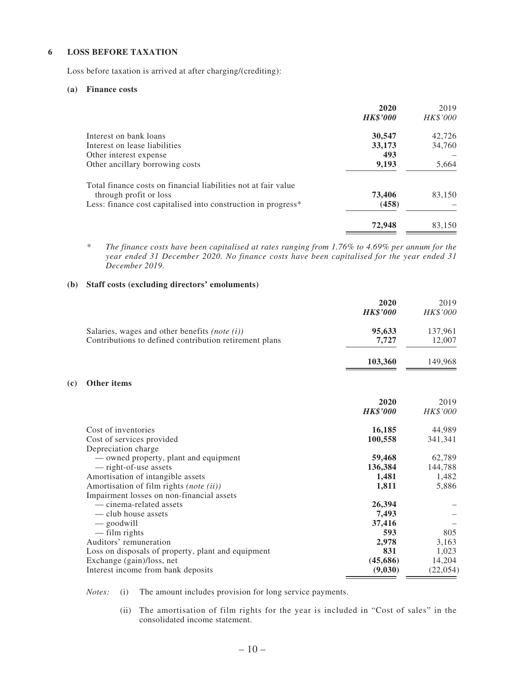### **6 LOSS BEFORE TAXATION**

Loss before taxation is arrived at after charging/(crediting):

#### **(a) Finance costs**

**(c) Other items**

|                                                                                          | 2020            | 2019     |
|------------------------------------------------------------------------------------------|-----------------|----------|
|                                                                                          | <b>HK\$'000</b> | HK\$'000 |
| Interest on bank loans                                                                   | 30,547          | 42,726   |
| Interest on lease liabilities                                                            | 33,173          | 34,760   |
| Other interest expense                                                                   | 493             |          |
| Other ancillary borrowing costs                                                          | 9,193           | 5,664    |
| Total finance costs on financial liabilities not at fair value<br>through profit or loss | 73,406          | 83,150   |
| Less: finance cost capitalised into construction in progress*                            | (458)           |          |
|                                                                                          | 72,948          | 83,150   |

*\* The finance costs have been capitalised at rates ranging from 1.76% to 4.69% per annum for the year ended 31 December 2020. No finance costs have been capitalised for the year ended 31 December 2019.*

#### **(b) Staff costs (excluding directors' emoluments)**

|                                                        | 2020            | 2019     |
|--------------------------------------------------------|-----------------|----------|
|                                                        | <b>HK\$'000</b> | HK\$'000 |
| Salaries, wages and other benefits <i>(note (i))</i>   | 95,633          | 137,961  |
| Contributions to defined contribution retirement plans | 7,727           | 12,007   |
|                                                        | 103,360         | 149,968  |
| <b>Other items</b>                                     |                 |          |
|                                                        | 2020            | 2019     |
|                                                        | <b>HK\$'000</b> | HK\$'000 |
| Cost of inventories                                    | 16,185          | 44,989   |
| Cost of services provided                              | 100,558         | 341,341  |
| Depreciation charge                                    |                 |          |
| — owned property, plant and equipment                  | 59,468          | 62,789   |
| - right-of-use assets                                  | 136,384         | 144,788  |
| Amortisation of intangible assets                      | 1,481           | 1,482    |
| Amortisation of film rights (note (ii))                | 1,811           | 5,886    |
| Impairment losses on non-financial assets              |                 |          |
| — cinema-related assets                                | 26,394          |          |
| — club house assets                                    | 7,493           |          |
| — goodwill                                             | 37,416          |          |
| — film rights                                          | 593             | 805      |
| Auditors' remuneration                                 | 2,978           | 3,163    |
| Loss on disposals of property, plant and equipment     | 831             | 1,023    |
| Exchange (gain)/loss, net                              | (45,686)        | 14,204   |
| Interest income from bank deposits                     | (9,030)         | (22,054) |

*Notes:* (i) The amount includes provision for long service payments.

(ii) The amortisation of film rights for the year is included in "Cost of sales" in the consolidated income statement.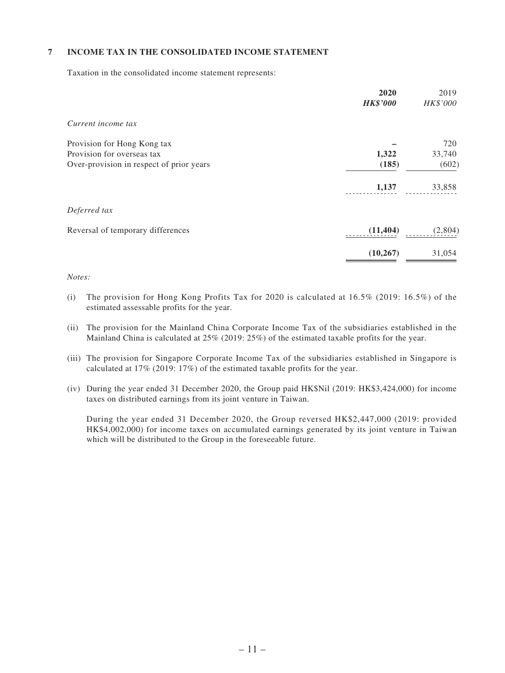### **7 INCOME TAX IN THE CONSOLIDATED INCOME STATEMENT**

Taxation in the consolidated income statement represents:

| 2020<br><b>HK\$'000</b> | 2019<br>HK\$'000 |
|-------------------------|------------------|
|                         |                  |
|                         | 720              |
| 1,322                   | 33,740           |
| (185)                   | (602)            |
| 1,137                   | 33,858           |
|                         |                  |
| (11, 404)               | (2,804)          |
| (10, 267)               | 31,054           |
|                         |                  |

### *Notes:*

- (i) The provision for Hong Kong Profits Tax for 2020 is calculated at  $16.5\%$  (2019:  $16.5\%$ ) of the estimated assessable profits for the year.
- (ii) The provision for the Mainland China Corporate Income Tax of the subsidiaries established in the Mainland China is calculated at 25% (2019: 25%) of the estimated taxable profits for the year.
- (iii) The provision for Singapore Corporate Income Tax of the subsidiaries established in Singapore is calculated at 17% (2019: 17%) of the estimated taxable profits for the year.
- (iv) During the year ended 31 December 2020, the Group paid HK\$Nil (2019: HK\$3,424,000) for income taxes on distributed earnings from its joint venture in Taiwan.

During the year ended 31 December 2020, the Group reversed HK\$2,447,000 (2019: provided HK\$4,002,000) for income taxes on accumulated earnings generated by its joint venture in Taiwan which will be distributed to the Group in the foreseeable future.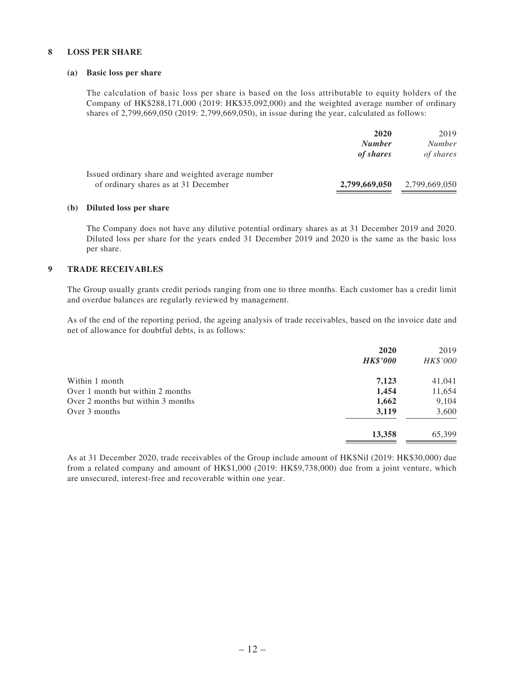#### **8 LOSS PER SHARE**

#### **(a) Basic loss per share**

The calculation of basic loss per share is based on the loss attributable to equity holders of the Company of HK\$288,171,000 (2019: HK\$35,092,000) and the weighted average number of ordinary shares of 2,799,669,050 (2019: 2,799,669,050), in issue during the year, calculated as follows:

|                                                   | 2020          | 2019          |
|---------------------------------------------------|---------------|---------------|
|                                                   | <b>Number</b> | <i>Number</i> |
|                                                   | of shares     | of shares     |
| Issued ordinary share and weighted average number |               |               |
| of ordinary shares as at 31 December              | 2,799,669,050 | 2,799,669,050 |

#### **(b) Diluted loss per share**

The Company does not have any dilutive potential ordinary shares as at 31 December 2019 and 2020. Diluted loss per share for the years ended 31 December 2019 and 2020 is the same as the basic loss per share.

#### **9 TRADE RECEIVABLES**

The Group usually grants credit periods ranging from one to three months. Each customer has a credit limit and overdue balances are regularly reviewed by management.

As of the end of the reporting period, the ageing analysis of trade receivables, based on the invoice date and net of allowance for doubtful debts, is as follows:

|                                   | 2020            | 2019     |
|-----------------------------------|-----------------|----------|
|                                   | <b>HK\$'000</b> | HK\$'000 |
| Within 1 month                    | 7,123           | 41,041   |
| Over 1 month but within 2 months  | 1,454           | 11,654   |
| Over 2 months but within 3 months | 1,662           | 9,104    |
| Over 3 months                     | 3,119           | 3,600    |
|                                   | 13,358          | 65,399   |

As at 31 December 2020, trade receivables of the Group include amount of HK\$Nil (2019: HK\$30,000) due from a related company and amount of HK\$1,000 (2019: HK\$9,738,000) due from a joint venture, which are unsecured, interest-free and recoverable within one year.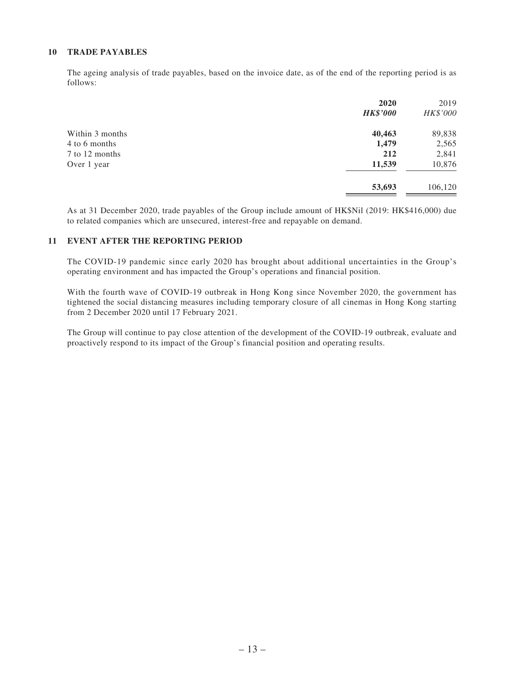### **10 TRADE PAYABLES**

The ageing analysis of trade payables, based on the invoice date, as of the end of the reporting period is as follows:

|                 | 2020<br><b>HK\$'000</b> | 2019<br>HK\$'000 |
|-----------------|-------------------------|------------------|
| Within 3 months | 40,463                  | 89,838           |
| 4 to 6 months   | 1,479                   | 2,565            |
| 7 to 12 months  | 212                     | 2,841            |
| Over 1 year     | 11,539                  | 10,876           |
|                 | 53,693                  | 106,120          |
|                 |                         |                  |

As at 31 December 2020, trade payables of the Group include amount of HK\$Nil (2019: HK\$416,000) due to related companies which are unsecured, interest-free and repayable on demand.

### **11 EVENT AFTER THE REPORTING PERIOD**

The COVID-19 pandemic since early 2020 has brought about additional uncertainties in the Group's operating environment and has impacted the Group's operations and financial position.

With the fourth wave of COVID-19 outbreak in Hong Kong since November 2020, the government has tightened the social distancing measures including temporary closure of all cinemas in Hong Kong starting from 2 December 2020 until 17 February 2021.

The Group will continue to pay close attention of the development of the COVID-19 outbreak, evaluate and proactively respond to its impact of the Group's financial position and operating results.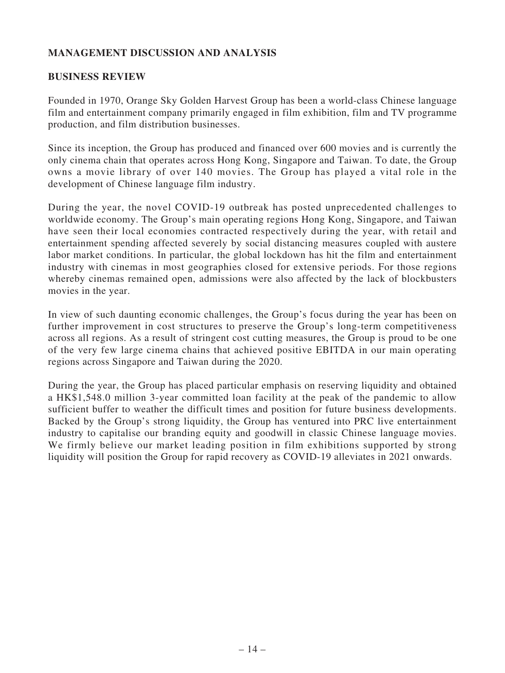# **MANAGEMENT DISCUSSION AND ANALYSIS**

### **BUSINESS REVIEW**

Founded in 1970, Orange Sky Golden Harvest Group has been a world-class Chinese language film and entertainment company primarily engaged in film exhibition, film and TV programme production, and film distribution businesses.

Since its inception, the Group has produced and financed over 600 movies and is currently the only cinema chain that operates across Hong Kong, Singapore and Taiwan. To date, the Group owns a movie library of over 140 movies. The Group has played a vital role in the development of Chinese language film industry.

During the year, the novel COVID-19 outbreak has posted unprecedented challenges to worldwide economy. The Group's main operating regions Hong Kong, Singapore, and Taiwan have seen their local economies contracted respectively during the year, with retail and entertainment spending affected severely by social distancing measures coupled with austere labor market conditions. In particular, the global lockdown has hit the film and entertainment industry with cinemas in most geographies closed for extensive periods. For those regions whereby cinemas remained open, admissions were also affected by the lack of blockbusters movies in the year.

In view of such daunting economic challenges, the Group's focus during the year has been on further improvement in cost structures to preserve the Group's long-term competitiveness across all regions. As a result of stringent cost cutting measures, the Group is proud to be one of the very few large cinema chains that achieved positive EBITDA in our main operating regions across Singapore and Taiwan during the 2020.

During the year, the Group has placed particular emphasis on reserving liquidity and obtained a HK\$1,548.0 million 3-year committed loan facility at the peak of the pandemic to allow sufficient buffer to weather the difficult times and position for future business developments. Backed by the Group's strong liquidity, the Group has ventured into PRC live entertainment industry to capitalise our branding equity and goodwill in classic Chinese language movies. We firmly believe our market leading position in film exhibitions supported by strong liquidity will position the Group for rapid recovery as COVID-19 alleviates in 2021 onwards.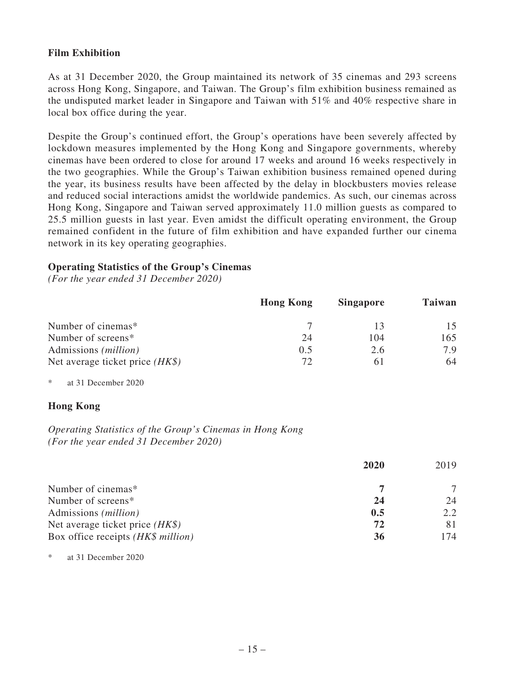### **Film Exhibition**

As at 31 December 2020, the Group maintained its network of 35 cinemas and 293 screens across Hong Kong, Singapore, and Taiwan. The Group's film exhibition business remained as the undisputed market leader in Singapore and Taiwan with 51% and 40% respective share in local box office during the year.

Despite the Group's continued effort, the Group's operations have been severely affected by lockdown measures implemented by the Hong Kong and Singapore governments, whereby cinemas have been ordered to close for around 17 weeks and around 16 weeks respectively in the two geographies. While the Group's Taiwan exhibition business remained opened during the year, its business results have been affected by the delay in blockbusters movies release and reduced social interactions amidst the worldwide pandemics. As such, our cinemas across Hong Kong, Singapore and Taiwan served approximately 11.0 million guests as compared to 25.5 million guests in last year. Even amidst the difficult operating environment, the Group remained confident in the future of film exhibition and have expanded further our cinema network in its key operating geographies.

### **Operating Statistics of the Group's Cinemas**

*(For the year ended 31 December 2020)*

|                                   | <b>Hong Kong</b> | <b>Singapore</b> | <b>Taiwan</b> |
|-----------------------------------|------------------|------------------|---------------|
| Number of cinemas*                |                  | 13               | 15            |
| Number of screens*                | 24               | 104              | 165           |
| Admissions ( <i>million</i> )     | 0.5              | 2.6              | 7.9           |
| Net average ticket price $(HK\$ ) | $72^{\circ}$     | 6 I              | 64            |

\* at 31 December 2020

### **Hong Kong**

*Operating Statistics of the Group's Cinemas in Hong Kong (For the year ended 31 December 2020)*

|                                    | 2020 | 2019 |
|------------------------------------|------|------|
| Number of cinemas*                 |      |      |
| Number of screens*                 | 24   | 24   |
| Admissions ( <i>million</i> )      | 0.5  | 2.2  |
| Net average ticket price $(HK\$ )  | 72   |      |
| Box office receipts (HK\$ million) | 36   | 174  |

at 31 December 2020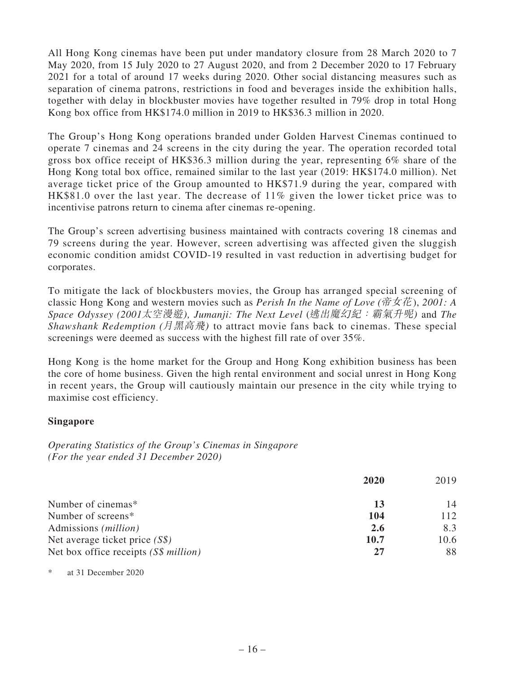All Hong Kong cinemas have been put under mandatory closure from 28 March 2020 to 7 May 2020, from 15 July 2020 to 27 August 2020, and from 2 December 2020 to 17 February 2021 for a total of around 17 weeks during 2020. Other social distancing measures such as separation of cinema patrons, restrictions in food and beverages inside the exhibition halls, together with delay in blockbuster movies have together resulted in 79% drop in total Hong Kong box office from HK\$174.0 million in 2019 to HK\$36.3 million in 2020.

The Group's Hong Kong operations branded under Golden Harvest Cinemas continued to operate 7 cinemas and 24 screens in the city during the year. The operation recorded total gross box office receipt of HK\$36.3 million during the year, representing 6% share of the Hong Kong total box office, remained similar to the last year (2019: HK\$174.0 million). Net average ticket price of the Group amounted to HK\$71.9 during the year, compared with HK\$81.0 over the last year. The decrease of 11% given the lower ticket price was to incentivise patrons return to cinema after cinemas re-opening.

The Group's screen advertising business maintained with contracts covering 18 cinemas and 79 screens during the year. However, screen advertising was affected given the sluggish economic condition amidst COVID-19 resulted in vast reduction in advertising budget for corporates.

To mitigate the lack of blockbusters movies, the Group has arranged special screening of classic Hong Kong and western movies such as *Perish In the Name of Love* (帝女花), *2001: A Space Odyssey (2001*太空漫遊)*, Jumanji: The Next Level* (逃出魔幻紀:霸氣升呢) and *The Shawshank Redemption* (月黑高飛) to attract movie fans back to cinemas. These special screenings were deemed as success with the highest fill rate of over 35%.

Hong Kong is the home market for the Group and Hong Kong exhibition business has been the core of home business. Given the high rental environment and social unrest in Hong Kong in recent years, the Group will cautiously maintain our presence in the city while trying to maximise cost efficiency.

### **Singapore**

*Operating Statistics of the Group's Cinemas in Singapore (For the year ended 31 December 2020)*

|                                        | 2020 | 2019 |
|----------------------------------------|------|------|
| Number of cinemas*                     | 13   | 14   |
| Number of screens*                     | 104  | 112  |
| Admissions ( <i>million</i> )          | 2.6  | 8.3  |
| Net average ticket price $(S\$ )       | 10.7 | 10.6 |
| Net box office receipts $(S\$ million) | 27   | 88   |

\* at 31 December 2020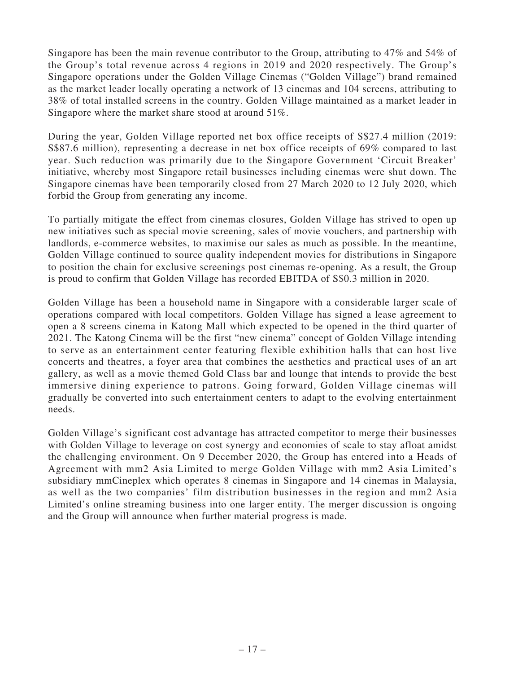Singapore has been the main revenue contributor to the Group, attributing to 47% and 54% of the Group's total revenue across 4 regions in 2019 and 2020 respectively. The Group's Singapore operations under the Golden Village Cinemas ("Golden Village") brand remained as the market leader locally operating a network of 13 cinemas and 104 screens, attributing to 38% of total installed screens in the country. Golden Village maintained as a market leader in Singapore where the market share stood at around 51%.

During the year, Golden Village reported net box office receipts of S\$27.4 million (2019: S\$87.6 million), representing a decrease in net box office receipts of 69% compared to last year. Such reduction was primarily due to the Singapore Government 'Circuit Breaker' initiative, whereby most Singapore retail businesses including cinemas were shut down. The Singapore cinemas have been temporarily closed from 27 March 2020 to 12 July 2020, which forbid the Group from generating any income.

To partially mitigate the effect from cinemas closures, Golden Village has strived to open up new initiatives such as special movie screening, sales of movie vouchers, and partnership with landlords, e-commerce websites, to maximise our sales as much as possible. In the meantime, Golden Village continued to source quality independent movies for distributions in Singapore to position the chain for exclusive screenings post cinemas re-opening. As a result, the Group is proud to confirm that Golden Village has recorded EBITDA of S\$0.3 million in 2020.

Golden Village has been a household name in Singapore with a considerable larger scale of operations compared with local competitors. Golden Village has signed a lease agreement to open a 8 screens cinema in Katong Mall which expected to be opened in the third quarter of 2021. The Katong Cinema will be the first "new cinema" concept of Golden Village intending to serve as an entertainment center featuring flexible exhibition halls that can host live concerts and theatres, a foyer area that combines the aesthetics and practical uses of an art gallery, as well as a movie themed Gold Class bar and lounge that intends to provide the best immersive dining experience to patrons. Going forward, Golden Village cinemas will gradually be converted into such entertainment centers to adapt to the evolving entertainment needs.

Golden Village's significant cost advantage has attracted competitor to merge their businesses with Golden Village to leverage on cost synergy and economies of scale to stay afloat amidst the challenging environment. On 9 December 2020, the Group has entered into a Heads of Agreement with mm2 Asia Limited to merge Golden Village with mm2 Asia Limited's subsidiary mmCineplex which operates 8 cinemas in Singapore and 14 cinemas in Malaysia, as well as the two companies' film distribution businesses in the region and mm2 Asia Limited's online streaming business into one larger entity. The merger discussion is ongoing and the Group will announce when further material progress is made.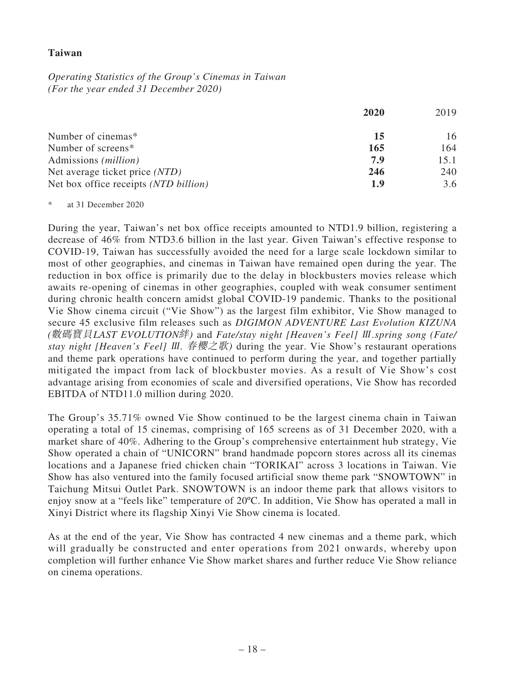### **Taiwan**

*Operating Statistics of the Group's Cinemas in Taiwan (For the year ended 31 December 2020)*

|                                       | 2020 | 2019 |
|---------------------------------------|------|------|
| Number of cinemas*                    | 15   | 16   |
| Number of screens*                    | 165  | 164  |
| Admissions ( <i>million</i> )         | 7.9  | 15.1 |
| Net average ticket price (NTD)        | 246  | 240  |
| Net box office receipts (NTD billion) | 1.9  | 3.6  |

\* at 31 December 2020

During the year, Taiwan's net box office receipts amounted to NTD1.9 billion, registering a decrease of 46% from NTD3.6 billion in the last year. Given Taiwan's effective response to COVID-19, Taiwan has successfully avoided the need for a large scale lockdown similar to most of other geographies, and cinemas in Taiwan have remained open during the year. The reduction in box office is primarily due to the delay in blockbusters movies release which awaits re-opening of cinemas in other geographies, coupled with weak consumer sentiment during chronic health concern amidst global COVID-19 pandemic. Thanks to the positional Vie Show cinema circuit ("Vie Show") as the largest film exhibitor, Vie Show managed to secure 45 exclusive film releases such as *DIGIMON ADVENTURE Last Evolution KIZUNA*  (數碼寶貝*LAST EVOLUTION*絆) and *Fate/stay night [Heaven's Feel]* Ⅲ*.spring song (Fate/ stay night [Heaven's Feel]* <sup>Ⅲ</sup>*.* 春櫻之歌) during the year. Vie Show's restaurant operations and theme park operations have continued to perform during the year, and together partially mitigated the impact from lack of blockbuster movies. As a result of Vie Show's cost advantage arising from economies of scale and diversified operations, Vie Show has recorded EBITDA of NTD11.0 million during 2020.

The Group's 35.71% owned Vie Show continued to be the largest cinema chain in Taiwan operating a total of 15 cinemas, comprising of 165 screens as of 31 December 2020, with a market share of 40%. Adhering to the Group's comprehensive entertainment hub strategy, Vie Show operated a chain of "UNICORN" brand handmade popcorn stores across all its cinemas locations and a Japanese fried chicken chain "TORIKAI" across 3 locations in Taiwan. Vie Show has also ventured into the family focused artificial snow theme park "SNOWTOWN" in Taichung Mitsui Outlet Park. SNOWTOWN is an indoor theme park that allows visitors to enjoy snow at a "feels like" temperature of 20ºC. In addition, Vie Show has operated a mall in Xinyi District where its flagship Xinyi Vie Show cinema is located.

As at the end of the year, Vie Show has contracted 4 new cinemas and a theme park, which will gradually be constructed and enter operations from 2021 onwards, whereby upon completion will further enhance Vie Show market shares and further reduce Vie Show reliance on cinema operations.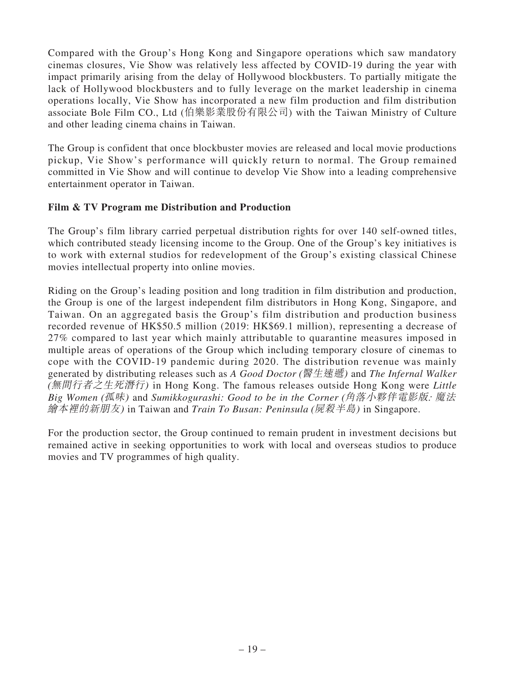Compared with the Group's Hong Kong and Singapore operations which saw mandatory cinemas closures, Vie Show was relatively less affected by COVID-19 during the year with impact primarily arising from the delay of Hollywood blockbusters. To partially mitigate the lack of Hollywood blockbusters and to fully leverage on the market leadership in cinema operations locally, Vie Show has incorporated a new film production and film distribution associate Bole Film CO., Ltd (伯樂影業股份有限公司) with the Taiwan Ministry of Culture and other leading cinema chains in Taiwan.

The Group is confident that once blockbuster movies are released and local movie productions pickup, Vie Show's performance will quickly return to normal. The Group remained committed in Vie Show and will continue to develop Vie Show into a leading comprehensive entertainment operator in Taiwan.

# **Film & TV Program me Distribution and Production**

The Group's film library carried perpetual distribution rights for over 140 self-owned titles, which contributed steady licensing income to the Group. One of the Group's key initiatives is to work with external studios for redevelopment of the Group's existing classical Chinese movies intellectual property into online movies.

Riding on the Group's leading position and long tradition in film distribution and production, the Group is one of the largest independent film distributors in Hong Kong, Singapore, and Taiwan. On an aggregated basis the Group's film distribution and production business recorded revenue of HK\$50.5 million (2019: HK\$69.1 million), representing a decrease of 27% compared to last year which mainly attributable to quarantine measures imposed in multiple areas of operations of the Group which including temporary closure of cinemas to cope with the COVID-19 pandemic during 2020. The distribution revenue was mainly generated by distributing releases such as *A Good Doctor* (醫生速遞) and *The Infernal Walker*  (無間行者之生死潛行) in Hong Kong. The famous releases outside Hong Kong were *Little Big Women* (孤味) and *Sumikkogurashi: Good to be in the Corner* (角落小夥伴電影版*:* 魔法 繪本裡的新朋友) in Taiwan and *Train To Busan: Peninsula* (屍殺半島) in Singapore.

For the production sector, the Group continued to remain prudent in investment decisions but remained active in seeking opportunities to work with local and overseas studios to produce movies and TV programmes of high quality.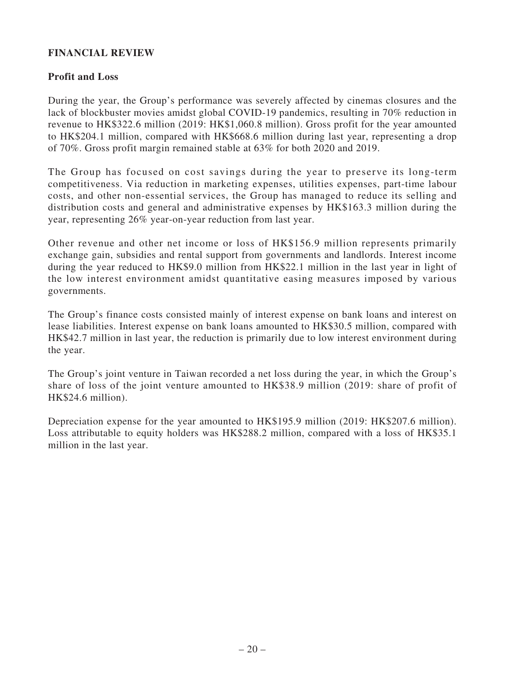### **FINANCIAL REVIEW**

### **Profit and Loss**

During the year, the Group's performance was severely affected by cinemas closures and the lack of blockbuster movies amidst global COVID-19 pandemics, resulting in 70% reduction in revenue to HK\$322.6 million (2019: HK\$1,060.8 million). Gross profit for the year amounted to HK\$204.1 million, compared with HK\$668.6 million during last year, representing a drop of 70%. Gross profit margin remained stable at 63% for both 2020 and 2019.

The Group has focused on cost savings during the year to preserve its long-term competitiveness. Via reduction in marketing expenses, utilities expenses, part-time labour costs, and other non-essential services, the Group has managed to reduce its selling and distribution costs and general and administrative expenses by HK\$163.3 million during the year, representing 26% year-on-year reduction from last year.

Other revenue and other net income or loss of HK\$156.9 million represents primarily exchange gain, subsidies and rental support from governments and landlords. Interest income during the year reduced to HK\$9.0 million from HK\$22.1 million in the last year in light of the low interest environment amidst quantitative easing measures imposed by various governments.

The Group's finance costs consisted mainly of interest expense on bank loans and interest on lease liabilities. Interest expense on bank loans amounted to HK\$30.5 million, compared with HK\$42.7 million in last year, the reduction is primarily due to low interest environment during the year.

The Group's joint venture in Taiwan recorded a net loss during the year, in which the Group's share of loss of the joint venture amounted to HK\$38.9 million (2019: share of profit of HK\$24.6 million).

Depreciation expense for the year amounted to HK\$195.9 million (2019: HK\$207.6 million). Loss attributable to equity holders was HK\$288.2 million, compared with a loss of HK\$35.1 million in the last year.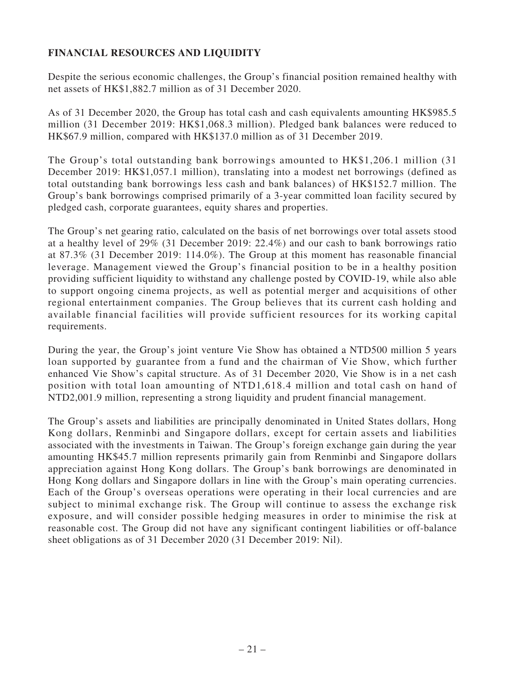# **FINANCIAL RESOURCES AND LIQUIDITY**

Despite the serious economic challenges, the Group's financial position remained healthy with net assets of HK\$1,882.7 million as of 31 December 2020.

As of 31 December 2020, the Group has total cash and cash equivalents amounting HK\$985.5 million (31 December 2019: HK\$1,068.3 million). Pledged bank balances were reduced to HK\$67.9 million, compared with HK\$137.0 million as of 31 December 2019.

The Group's total outstanding bank borrowings amounted to HK\$1,206.1 million (31 December 2019: HK\$1,057.1 million), translating into a modest net borrowings (defined as total outstanding bank borrowings less cash and bank balances) of HK\$152.7 million. The Group's bank borrowings comprised primarily of a 3-year committed loan facility secured by pledged cash, corporate guarantees, equity shares and properties.

The Group's net gearing ratio, calculated on the basis of net borrowings over total assets stood at a healthy level of 29% (31 December 2019: 22.4%) and our cash to bank borrowings ratio at 87.3% (31 December 2019: 114.0%). The Group at this moment has reasonable financial leverage. Management viewed the Group's financial position to be in a healthy position providing sufficient liquidity to withstand any challenge posted by COVID-19, while also able to support ongoing cinema projects, as well as potential merger and acquisitions of other regional entertainment companies. The Group believes that its current cash holding and available financial facilities will provide sufficient resources for its working capital requirements.

During the year, the Group's joint venture Vie Show has obtained a NTD500 million 5 years loan supported by guarantee from a fund and the chairman of Vie Show, which further enhanced Vie Show's capital structure. As of 31 December 2020, Vie Show is in a net cash position with total loan amounting of NTD1,618.4 million and total cash on hand of NTD2,001.9 million, representing a strong liquidity and prudent financial management.

The Group's assets and liabilities are principally denominated in United States dollars, Hong Kong dollars, Renminbi and Singapore dollars, except for certain assets and liabilities associated with the investments in Taiwan. The Group's foreign exchange gain during the year amounting HK\$45.7 million represents primarily gain from Renminbi and Singapore dollars appreciation against Hong Kong dollars. The Group's bank borrowings are denominated in Hong Kong dollars and Singapore dollars in line with the Group's main operating currencies. Each of the Group's overseas operations were operating in their local currencies and are subject to minimal exchange risk. The Group will continue to assess the exchange risk exposure, and will consider possible hedging measures in order to minimise the risk at reasonable cost. The Group did not have any significant contingent liabilities or off-balance sheet obligations as of 31 December 2020 (31 December 2019: Nil).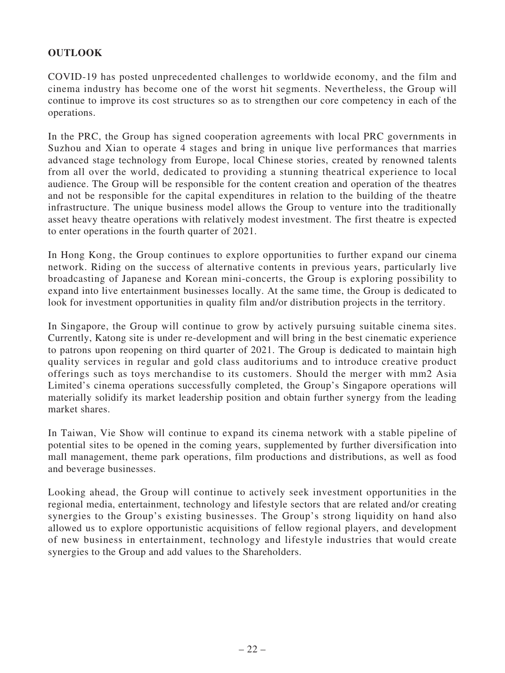# **OUTLOOK**

COVID-19 has posted unprecedented challenges to worldwide economy, and the film and cinema industry has become one of the worst hit segments. Nevertheless, the Group will continue to improve its cost structures so as to strengthen our core competency in each of the operations.

In the PRC, the Group has signed cooperation agreements with local PRC governments in Suzhou and Xian to operate 4 stages and bring in unique live performances that marries advanced stage technology from Europe, local Chinese stories, created by renowned talents from all over the world, dedicated to providing a stunning theatrical experience to local audience. The Group will be responsible for the content creation and operation of the theatres and not be responsible for the capital expenditures in relation to the building of the theatre infrastructure. The unique business model allows the Group to venture into the traditionally asset heavy theatre operations with relatively modest investment. The first theatre is expected to enter operations in the fourth quarter of 2021.

In Hong Kong, the Group continues to explore opportunities to further expand our cinema network. Riding on the success of alternative contents in previous years, particularly live broadcasting of Japanese and Korean mini-concerts, the Group is exploring possibility to expand into live entertainment businesses locally. At the same time, the Group is dedicated to look for investment opportunities in quality film and/or distribution projects in the territory.

In Singapore, the Group will continue to grow by actively pursuing suitable cinema sites. Currently, Katong site is under re-development and will bring in the best cinematic experience to patrons upon reopening on third quarter of 2021. The Group is dedicated to maintain high quality services in regular and gold class auditoriums and to introduce creative product offerings such as toys merchandise to its customers. Should the merger with mm2 Asia Limited's cinema operations successfully completed, the Group's Singapore operations will materially solidify its market leadership position and obtain further synergy from the leading market shares.

In Taiwan, Vie Show will continue to expand its cinema network with a stable pipeline of potential sites to be opened in the coming years, supplemented by further diversification into mall management, theme park operations, film productions and distributions, as well as food and beverage businesses.

Looking ahead, the Group will continue to actively seek investment opportunities in the regional media, entertainment, technology and lifestyle sectors that are related and/or creating synergies to the Group's existing businesses. The Group's strong liquidity on hand also allowed us to explore opportunistic acquisitions of fellow regional players, and development of new business in entertainment, technology and lifestyle industries that would create synergies to the Group and add values to the Shareholders.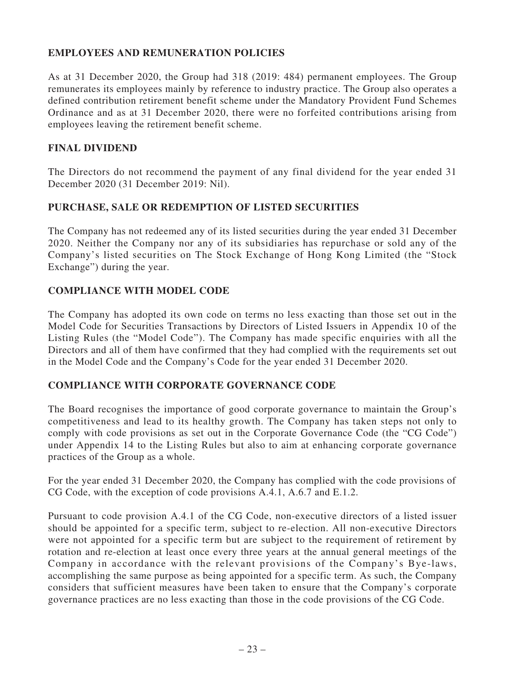# **EMPLOYEES AND REMUNERATION POLICIES**

As at 31 December 2020, the Group had 318 (2019: 484) permanent employees. The Group remunerates its employees mainly by reference to industry practice. The Group also operates a defined contribution retirement benefit scheme under the Mandatory Provident Fund Schemes Ordinance and as at 31 December 2020, there were no forfeited contributions arising from employees leaving the retirement benefit scheme.

### **FINAL DIVIDEND**

The Directors do not recommend the payment of any final dividend for the year ended 31 December 2020 (31 December 2019: Nil).

# **PURCHASE, SALE OR REDEMPTION OF LISTED SECURITIES**

The Company has not redeemed any of its listed securities during the year ended 31 December 2020. Neither the Company nor any of its subsidiaries has repurchase or sold any of the Company's listed securities on The Stock Exchange of Hong Kong Limited (the "Stock Exchange") during the year.

# **COMPLIANCE WITH MODEL CODE**

The Company has adopted its own code on terms no less exacting than those set out in the Model Code for Securities Transactions by Directors of Listed Issuers in Appendix 10 of the Listing Rules (the "Model Code"). The Company has made specific enquiries with all the Directors and all of them have confirmed that they had complied with the requirements set out in the Model Code and the Company's Code for the year ended 31 December 2020.

### **COMPLIANCE WITH CORPORATE GOVERNANCE CODE**

The Board recognises the importance of good corporate governance to maintain the Group's competitiveness and lead to its healthy growth. The Company has taken steps not only to comply with code provisions as set out in the Corporate Governance Code (the "CG Code") under Appendix 14 to the Listing Rules but also to aim at enhancing corporate governance practices of the Group as a whole.

For the year ended 31 December 2020, the Company has complied with the code provisions of CG Code, with the exception of code provisions A.4.1, A.6.7 and E.1.2.

Pursuant to code provision A.4.1 of the CG Code, non-executive directors of a listed issuer should be appointed for a specific term, subject to re-election. All non-executive Directors were not appointed for a specific term but are subject to the requirement of retirement by rotation and re-election at least once every three years at the annual general meetings of the Company in accordance with the relevant provisions of the Company's Bye-laws, accomplishing the same purpose as being appointed for a specific term. As such, the Company considers that sufficient measures have been taken to ensure that the Company's corporate governance practices are no less exacting than those in the code provisions of the CG Code.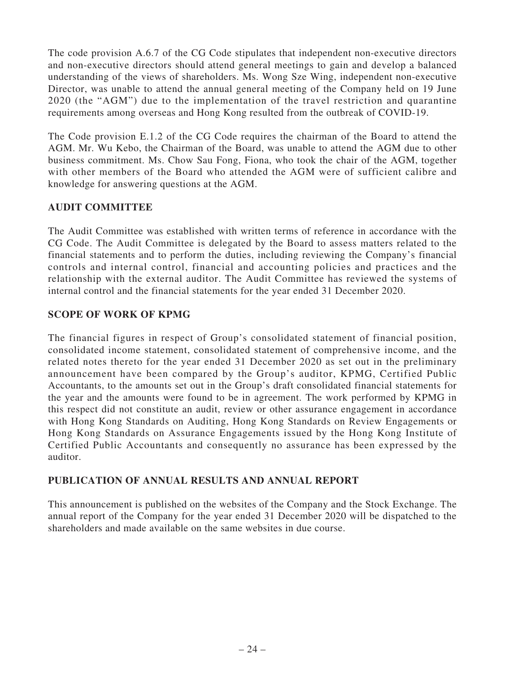The code provision A.6.7 of the CG Code stipulates that independent non-executive directors and non-executive directors should attend general meetings to gain and develop a balanced understanding of the views of shareholders. Ms. Wong Sze Wing, independent non-executive Director, was unable to attend the annual general meeting of the Company held on 19 June 2020 (the "AGM") due to the implementation of the travel restriction and quarantine requirements among overseas and Hong Kong resulted from the outbreak of COVID-19.

The Code provision E.1.2 of the CG Code requires the chairman of the Board to attend the AGM. Mr. Wu Kebo, the Chairman of the Board, was unable to attend the AGM due to other business commitment. Ms. Chow Sau Fong, Fiona, who took the chair of the AGM, together with other members of the Board who attended the AGM were of sufficient calibre and knowledge for answering questions at the AGM.

# **AUDIT COMMITTEE**

The Audit Committee was established with written terms of reference in accordance with the CG Code. The Audit Committee is delegated by the Board to assess matters related to the financial statements and to perform the duties, including reviewing the Company's financial controls and internal control, financial and accounting policies and practices and the relationship with the external auditor. The Audit Committee has reviewed the systems of internal control and the financial statements for the year ended 31 December 2020.

# **SCOPE OF WORK OF KPMG**

The financial figures in respect of Group's consolidated statement of financial position, consolidated income statement, consolidated statement of comprehensive income, and the related notes thereto for the year ended 31 December 2020 as set out in the preliminary announcement have been compared by the Group's auditor, KPMG, Certified Public Accountants, to the amounts set out in the Group's draft consolidated financial statements for the year and the amounts were found to be in agreement. The work performed by KPMG in this respect did not constitute an audit, review or other assurance engagement in accordance with Hong Kong Standards on Auditing, Hong Kong Standards on Review Engagements or Hong Kong Standards on Assurance Engagements issued by the Hong Kong Institute of Certified Public Accountants and consequently no assurance has been expressed by the auditor.

### **PUBLICATION OF ANNUAL RESULTS AND ANNUAL REPORT**

This announcement is published on the websites of the Company and the Stock Exchange. The annual report of the Company for the year ended 31 December 2020 will be dispatched to the shareholders and made available on the same websites in due course.